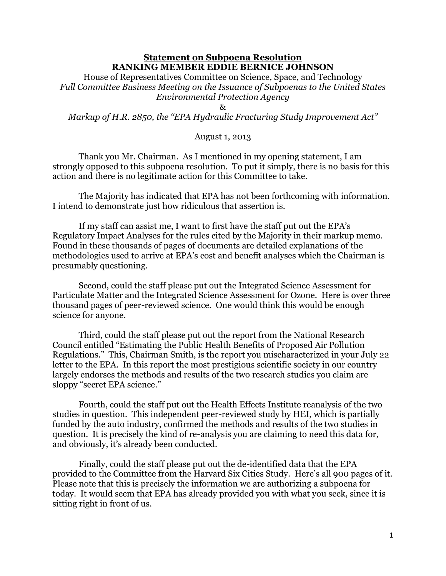## **Statement on Subpoena Resolution RANKING MEMBER EDDIE BERNICE JOHNSON**

House of Representatives Committee on Science, Space, and Technology *Full Committee Business Meeting on the Issuance of Subpoenas to the United States Environmental Protection Agency*

## $\mathcal{R}_{\mathcal{F}}$

*Markup of H.R. 2850, the "EPA Hydraulic Fracturing Study Improvement Act"*

## August 1, 2013

Thank you Mr. Chairman. As I mentioned in my opening statement, I am strongly opposed to this subpoena resolution. To put it simply, there is no basis for this action and there is no legitimate action for this Committee to take.

The Majority has indicated that EPA has not been forthcoming with information. I intend to demonstrate just how ridiculous that assertion is.

If my staff can assist me, I want to first have the staff put out the EPA's Regulatory Impact Analyses for the rules cited by the Majority in their markup memo. Found in these thousands of pages of documents are detailed explanations of the methodologies used to arrive at EPA's cost and benefit analyses which the Chairman is presumably questioning.

Second, could the staff please put out the Integrated Science Assessment for Particulate Matter and the Integrated Science Assessment for Ozone. Here is over three thousand pages of peer-reviewed science. One would think this would be enough science for anyone.

Third, could the staff please put out the report from the National Research Council entitled "Estimating the Public Health Benefits of Proposed Air Pollution Regulations." This, Chairman Smith, is the report you mischaracterized in your July 22 letter to the EPA. In this report the most prestigious scientific society in our country largely endorses the methods and results of the two research studies you claim are sloppy "secret EPA science."

Fourth, could the staff put out the Health Effects Institute reanalysis of the two studies in question. This independent peer-reviewed study by HEI, which is partially funded by the auto industry, confirmed the methods and results of the two studies in question. It is precisely the kind of re-analysis you are claiming to need this data for, and obviously, it's already been conducted.

Finally, could the staff please put out the de-identified data that the EPA provided to the Committee from the Harvard Six Cities Study. Here's all 900 pages of it. Please note that this is precisely the information we are authorizing a subpoena for today. It would seem that EPA has already provided you with what you seek, since it is sitting right in front of us.